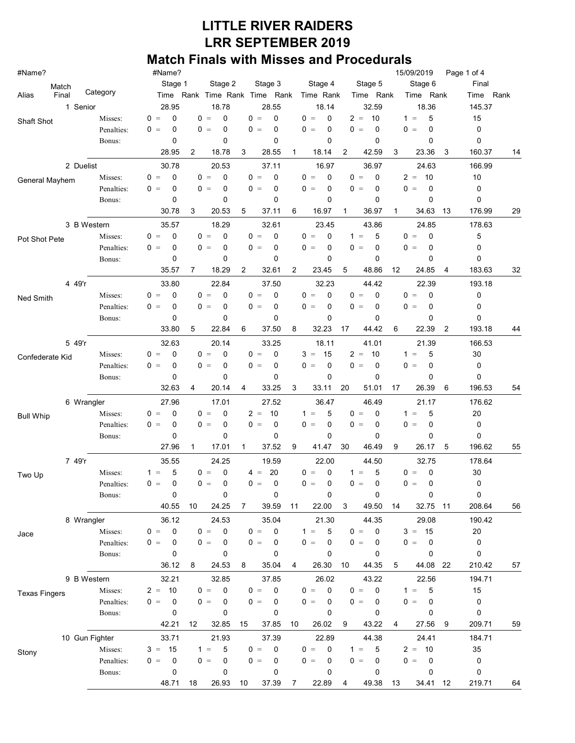| #Name?                             |                | #Name?               |                          |                             |                      |                         | 15/09/2019                                  | Page 1 of 4        |  |  |
|------------------------------------|----------------|----------------------|--------------------------|-----------------------------|----------------------|-------------------------|---------------------------------------------|--------------------|--|--|
| Match                              |                | Stage 1              | Stage 2                  | Stage 3                     | Stage 4              | Stage 5                 | Stage 6                                     | Final              |  |  |
| Final<br>Alias                     | Category       |                      | Time Rank Time Rank Time | Rank                        | Time Rank            | Time Rank               | Time Rank                                   | Rank<br>Time       |  |  |
| 1 Senior                           |                | 28.95                | 18.78                    | 28.55                       | 18.14                | 32.59                   | 18.36                                       | 145.37             |  |  |
| Shaft Shot                         | Misses:        | $\Omega$<br>$0 =$    | $0 =$<br>0               | $0 =$<br>$\Omega$           | $0 =$<br>0           | $2 =$<br>10             | 5<br>$1 =$                                  | 15                 |  |  |
|                                    | Penalties:     | $0 =$<br>0           | 0<br>$0 =$               | 0<br>$=$<br>0               | $0 =$<br>0           | $\mathbf 0$<br>0<br>$=$ | 0<br>0<br>$=$                               | 0                  |  |  |
|                                    | Bonus:         | 0                    | 0                        | 0                           | 0                    | 0                       | 0                                           | 0                  |  |  |
|                                    |                | 28.95                | 2<br>18.78               | 28.55<br>3                  | 18.14<br>1           | $\overline{c}$<br>42.59 | 3<br>23.36                                  | 3<br>160.37<br>14  |  |  |
| 2 Duelist                          |                | 30.78                | 20.53                    | 37.11                       | 16.97                | 36.97                   | 24.63                                       | 166.99             |  |  |
| General Mayhem                     | Misses:        | 0<br>$0 =$           | 0<br>$0 =$               | $0 =$<br>0                  | $0 =$<br>0           | $0 =$<br>$\mathbf 0$    | 10<br>$2 =$                                 | 10                 |  |  |
|                                    | Penalties:     | $0 =$<br>0           | $0 =$<br>0               | $0 =$<br>0                  | $0 =$<br>0           | $0 =$<br>0              | 0<br>0<br>$\, =$                            | 0                  |  |  |
|                                    | Bonus:         | 0                    | 0                        | 0                           | 0                    | 0                       | 0                                           | 0                  |  |  |
|                                    |                | 30.78                | 3<br>20.53               | 5<br>37.11                  | 6<br>16.97           | 36.97<br>1              | 34.63<br>1                                  | 176.99<br>29<br>13 |  |  |
|                                    | 3 B Western    | 35.57                | 18.29                    | 32.61                       | 23.45                | 43.86                   | 24.85                                       | 178.63             |  |  |
| Pot Shot Pete                      | Misses:        | $0 =$<br>0           | 0<br>$0 =$               | 0<br>0<br>$\qquad \qquad =$ | $0 =$<br>0           | 5<br>$1 =$              | 0<br>0<br>$=$                               | 5                  |  |  |
|                                    | Penalties:     | $0 =$<br>0           | $0 =$<br>0               | $0 =$<br>0                  | $0 =$<br>0           | 0<br>0<br>$=$           | 0<br>0<br>$=$                               | 0                  |  |  |
|                                    | Bonus:         | 0                    | 0                        | 0                           | 0                    | 0                       | 0                                           | 0                  |  |  |
|                                    |                | 35.57                | 18.29<br>7               | 32.61<br>2                  | 2<br>23.45           | 5<br>48.86              | 12<br>24.85                                 | 183.63<br>32<br>4  |  |  |
| 4 49'r                             |                | 33.80                | 22.84                    | 37.50                       | 32.23                | 44.42                   | 22.39                                       | 193.18             |  |  |
| Ned Smith                          | Misses:        | $0 =$<br>0           | 0<br>$0 =$               | $0 =$<br>0                  | $0 =$<br>0           | 0<br>$\equiv$<br>0      | $\mathbf 0$<br>0<br>$\equiv$                | 0                  |  |  |
|                                    | Penalties:     | 0<br>$0 =$           | $0 =$<br>0               | $0 =$<br>0                  | $0 =$<br>0           | $0 =$<br>0              | $0 =$<br>0                                  | 0                  |  |  |
|                                    | Bonus:         | 0                    | 0                        | 0                           | 0                    | 0                       | 0                                           | 0                  |  |  |
|                                    |                | 33.80                | 22.84<br>5               | 37.50<br>6                  | 8<br>32.23           | 17<br>44.42             | 6<br>22.39                                  | 2<br>193.18<br>44  |  |  |
| 5 49'r                             |                | 32.63                | 20.14                    | 33.25                       | 18.11                | 41.01                   | 21.39                                       | 166.53             |  |  |
| Confederate Kid                    | Misses:        | $0 =$<br>0           | $0 =$<br>0               | $0 =$<br>$\Omega$           | 15<br>$3 =$          | $2 =$<br>10             | 5<br>$1 =$                                  | 30                 |  |  |
|                                    | Penalties:     | 0<br>$0 =$           | $0 =$<br>0               | $0 =$<br>0                  | $0 =$<br>0           | 0<br>0<br>$\equiv$      | 0<br>0<br>$\hspace{0.1cm} = \hspace{0.1cm}$ | 0                  |  |  |
|                                    | Bonus:         | 0                    | 0                        | 0                           | 0                    | 0                       | 0                                           | 0                  |  |  |
|                                    |                | 32.63                | 20.14<br>4               | 33.25<br>4                  | 3<br>33.11           | 20<br>51.01             | 17<br>26.39                                 | 6<br>196.53<br>54  |  |  |
|                                    | 6 Wrangler     | 27.96                | 17.01                    | 27.52                       | 36.47                | 46.49                   | 21.17                                       | 176.62             |  |  |
| <b>Bull Whip</b>                   | Misses:        | $0 =$<br>0           | $0 =$<br>0               | $2 =$<br>10                 | 5<br>$1 =$           | $0 =$<br>0              | 5<br>$1 =$                                  | 20                 |  |  |
|                                    | Penalties:     | 0<br>$0 =$           | $0 =$<br>0               | $0 =$<br>0                  | $0 =$<br>0           | $0 =$<br>0              | 0<br>0<br>$\, =$                            | 0                  |  |  |
|                                    | Bonus:         | 0                    | 0                        | 0                           | 0                    | 0                       | 0                                           | 0                  |  |  |
|                                    |                | 27.96                | 17.01<br>1               | 37.52<br>1                  | 9<br>41.47           | 30<br>46.49             | 9<br>26.17                                  | 196.62<br>5<br>55  |  |  |
| 7 49'r                             |                | 35.55                | 24.25                    | 19.59                       | 22.00                | 44.50                   | 32.75                                       | 178.64             |  |  |
| Two Up                             | Misses:        | 5<br>$1 =$           | 0<br>$0 =$               | 20<br>$4 =$                 | 0<br>$0 =$           | 5<br>$1 =$              | $\mathbf 0$<br>0<br>$=$                     | 30                 |  |  |
|                                    | Penalties:     | $0 =$<br>0           | $0 =$<br>0               | $0 =$<br>0                  | $0 =$<br>0           | $0 =$<br>0              | $0 =$<br>0                                  | 0                  |  |  |
|                                    | Bonus:         | 0                    | 0                        | 0                           | 0                    | 0                       | 0                                           | 0                  |  |  |
|                                    |                | 40.55                | 24.25<br>10              | 39.59<br>7                  | 11<br>22.00          | 49.50<br>3              | 32.75<br>14                                 | 11<br>208.64<br>56 |  |  |
|                                    | 8 Wrangler     | 36.12                | 24.53                    | 35.04                       | 21.30                | 44.35                   | 29.08                                       | 190.42             |  |  |
| Jace                               | Misses:        | 0<br>$0 =$           | 0<br>$0 =$               | $\mathbf 0$<br>$0 =$        | 5<br>$1 =$           | $\mathbf 0$<br>$0 =$    | 15<br>$3 =$                                 | 20                 |  |  |
|                                    | Penalties:     | $0 =$<br>0           | $0 =$<br>0               | $0 =$<br>0                  | $0 =$<br>$\mathbf 0$ | $0 =$<br>0              | 0<br>$0 =$                                  | 0                  |  |  |
|                                    | Bonus:         | 0                    | 0                        | 0                           | 0                    | 0                       | 0                                           | 0                  |  |  |
|                                    |                | 36.12                | 24.53<br>8               | 35.04<br>8                  | 26.30<br>4           | 10<br>44.35             | 5<br>44.08                                  | 210.42<br>22<br>57 |  |  |
|                                    | 9 B Western    | 32.21                | 32.85                    | 37.85                       | 26.02                | 43.22                   | 22.56                                       | 194.71             |  |  |
|                                    | Misses:        | 10<br>$2 =$          | 0<br>$0 =$               | $\mathbf 0$<br>$0 =$        | $\mathbf 0$<br>$0 =$ | $\mathbf 0$<br>$0 =$    | 5<br>$1 =$                                  | 15                 |  |  |
| <b>Texas Fingers</b><br>Penalties: |                | $\mathbf 0$<br>$0 =$ | $0 =$<br>0               | $0 =$<br>0                  | $0 =$<br>0           | $0 =$<br>0              | 0<br>$0 =$                                  | 0                  |  |  |
|                                    | Bonus:         | 0                    | 0                        | 0                           | 0                    | 0                       | 0                                           | 0                  |  |  |
|                                    |                | 42.21                | 32.85<br>12              | 37.85<br>15                 | 10<br>26.02          | 43.22<br>9              | 27.56<br>4                                  | 209.71<br>9<br>59  |  |  |
|                                    | 10 Gun Fighter | 33.71                | 21.93                    | 37.39                       | 22.89                | 44.38                   | 24.41                                       | 184.71             |  |  |
|                                    | Misses:        | 15<br>$3 =$          | 5<br>$1 =$               | 0<br>$0 =$                  | $0 =$<br>0           | 5<br>$1 =$              | 10<br>$2 =$                                 | 35                 |  |  |
| Stony                              | Penalties:     | $0 =$<br>0           | $0 =$<br>0               | $0 =$<br>0                  | $0 =$<br>0           | $0 =$<br>0              | $0 =$<br>0                                  | 0                  |  |  |
|                                    | Bonus:         | 0                    | 0                        | 0                           | 0                    | 0                       | 0                                           | 0                  |  |  |
|                                    |                | 48.71                | 18<br>26.93              | 10<br>37.39                 | 22.89<br>7           | 49.38<br>4              | 13<br>34.41                                 | 12<br>219.71<br>64 |  |  |
|                                    |                |                      |                          |                             |                      |                         |                                             |                    |  |  |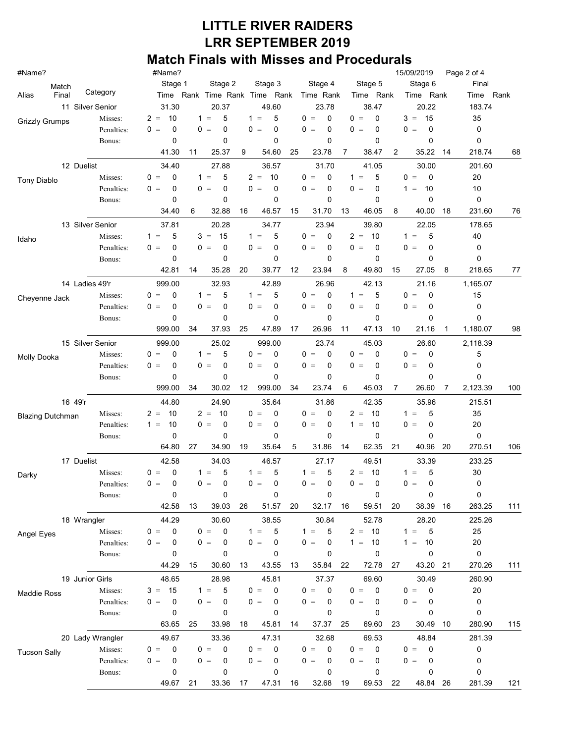| #Name?                  |                       | #Name?                        |                          |                                             |                       |                      | 15/09/2019                    | Page 2 of 4       |
|-------------------------|-----------------------|-------------------------------|--------------------------|---------------------------------------------|-----------------------|----------------------|-------------------------------|-------------------|
| Match                   |                       | Stage 1                       | Stage 2                  | Stage 3                                     | Stage 4               | Stage 5              | Stage 6                       | Final             |
| Final<br>Alias          | Category              |                               | Time Rank Time Rank Time | Rank                                        | Time Rank             | Time Rank            | Time Rank                     | Rank<br>Time      |
|                         | 11 Silver Senior      | 31.30                         | 20.37                    | 49.60                                       | 23.78                 | 38.47                | 20.22                         | 183.74            |
| <b>Grizzly Grumps</b>   | Misses:               | 10<br>$2 =$                   | 5<br>$1 =$               | 5<br>$1 =$                                  | $0 =$<br>0            | $0 =$<br>0           | 15<br>$3 =$                   | 35                |
|                         | Penalties:            | $0 =$<br>$\Omega$             | 0<br>0<br>$=$            | 0<br>0<br>$=$                               | $0 =$<br>0            | 0<br>0<br>$=$        | 0<br>0<br>$\equiv$            | 0                 |
|                         | Bonus:                | 0<br>41.30                    | 0<br>25.37<br>11         | 0<br>9<br>54.60                             | 0<br>25<br>23.78<br>7 | 0<br>2<br>38.47      | 0<br>35.22<br>14              | 0<br>218.74<br>68 |
|                         |                       |                               |                          |                                             |                       |                      |                               |                   |
|                         | 12 Duelist<br>Misses: | 34.40<br>$\mathbf 0$<br>$0 =$ | 27.88<br>5<br>$1 =$      | 36.57<br>$2 =$<br>10                        | 31.70<br>$0 =$<br>0   | 41.05<br>5<br>$1 =$  | 30.00<br>$\mathbf 0$<br>$0 =$ | 201.60<br>20      |
| <b>Tony Diablo</b>      | Penalties:            | $0 =$<br>0                    | 0<br>$0 =$               | $0 =$<br>0                                  | $0 =$<br>0            | $0 =$<br>0           | 1<br>10<br>$=$                | 10                |
|                         | Bonus:                | 0                             | 0                        | 0                                           | 0                     | 0                    | 0                             | 0                 |
|                         |                       | 34.40                         | 32.88<br>6               | 46.57<br>16                                 | 31.70<br>15<br>13     | 46.05<br>8           | 40.00<br>18                   | 231.60<br>76      |
|                         | 13 Silver Senior      | 37.81                         | 20.28                    | 34.77                                       | 23.94                 | 39.80                | 22.05                         | 178.65            |
|                         | Misses:               | 5<br>$1 =$                    | 15<br>$3 =$              | 5<br>$1 =$                                  | $0 =$<br>0            | $2 =$<br>10          | 5<br>1<br>$=$                 | 40                |
| Idaho                   | Penalties:            | $0 =$<br>0                    | $0 =$<br>0               | 0<br>0<br>$\qquad \qquad =$                 | $0 =$<br>0            | 0<br>0<br>$=$        | 0<br>0<br>$=$                 | 0                 |
|                         | Bonus:                | 0                             | 0                        | 0                                           | 0                     | 0                    | 0                             | 0                 |
|                         |                       | 42.81                         | 35.28<br>14              | 39.77<br>20                                 | 12<br>23.94<br>8      | 49.80<br>15          | 27.05<br>8                    | 218.65<br>77      |
|                         | 14 Ladies 49'r        | 999.00                        | 32.93                    | 42.89                                       | 26.96                 | 42.13                | 21.16                         | 1,165.07          |
| Cheyenne Jack           | Misses:               | $0 =$<br>0                    | 5<br>$1 =$               | $1 =$<br>5                                  | $0 =$<br>0            | $1 =$<br>5           | 0<br>0<br>$\equiv$            | 15                |
|                         | Penalties:            | 0<br>$0 =$                    | $0 =$<br>0               | $0 =$<br>0                                  | $0 =$<br>0            | $0 =$<br>0           | $0 =$<br>0                    | 0                 |
|                         | Bonus:                | 0                             | 0                        | 0                                           | 0                     | $\mathbf 0$          | 0                             | 0                 |
|                         |                       | 999.00                        | 37.93<br>34              | 25<br>47.89                                 | 26.96<br>17<br>11     | 47.13<br>10          | 21.16<br>1                    | 1,180.07<br>98    |
|                         | 15 Silver Senior      | 999.00                        | 25.02                    | 999.00                                      | 23.74                 | 45.03                | 26.60                         | 2,118.39          |
| Molly Dooka             | Misses:               | $\Omega$<br>$0 =$             | 5<br>$1 =$               | 0<br>0<br>$\hspace{0.1cm} = \hspace{0.1cm}$ | $0 =$<br>0            | $0 =$<br>$\Omega$    | $0 =$<br>0                    | 5                 |
|                         | Penalties:            | 0<br>$0 =$                    | 0<br>$0 =$               | $0 =$<br>0                                  | $0 =$<br>0            | $0 =$<br>0           | 0<br>$0 =$                    | 0                 |
|                         | Bonus:                | 0                             | 0                        | 0                                           | 0                     | 0                    | 0                             | 0                 |
|                         |                       | 999.00                        | 34<br>30.02              | 999.00<br>12                                | 34<br>23.74<br>6      | 45.03<br>7           | 26.60<br>7                    | 2,123.39<br>100   |
|                         | 16 49'r               | 44.80                         | 24.90                    | 35.64                                       | 31.86                 | 42.35                | 35.96                         | 215.51            |
| <b>Blazing Dutchman</b> | Misses:               | 10<br>$2 =$                   | $2 =$<br>10              | $0 =$<br>0                                  | $0 =$<br>0            | $2 =$<br>10          | 5<br>1<br>$\equiv$            | 35                |
|                         | Penalties:            | 10<br>$1 =$                   | $0 =$<br>0               | $0 =$<br>0                                  | $0 =$<br>0            | $1 =$<br>10          | 0<br>$0 =$                    | 20                |
|                         | Bonus:                | 0                             | 0                        | 0                                           | 0                     | 0                    | 0                             | 0                 |
|                         |                       | 64.80                         | 27<br>34.90              | 35.64<br>19                                 | 5<br>31.86<br>14      | 62.35<br>21          | 40.96<br>20                   | 270.51<br>106     |
|                         | 17 Duelist            | 42.58                         | 34.03                    | 46.57                                       | 27.17                 | 49.51                | 33.39                         | 233.25            |
| Darky                   | Misses:               | $\mathbf 0$<br>$0 =$          | 5<br>$1 =$               | 5<br>$1 =$                                  | 5<br>$1 =$            | $2 =$<br>10          | 5<br>1<br>$\, =$              | 30                |
|                         | Penalties:<br>Bonus:  | $0 =$<br>0<br>0               | $0 =$<br>0<br>0          | $0 =$<br>0<br>0                             | $0 =$<br>0<br>0       | $0 =$<br>0<br>0      | $0 =$<br>0<br>0               | 0<br>$\pmb{0}$    |
|                         |                       | 42.58                         | 39.03<br>13              | 51.57<br>26                                 | 20<br>32.17<br>16     | 59.51<br>20          | 38.39<br>16                   | 263.25<br>111     |
|                         | 18 Wrangler           | 44.29                         | 30.60                    | 38.55                                       | 30.84                 | 52.78                | 28.20                         | 225.26            |
|                         | Misses:               | $\mathbf 0$<br>$0 =$          | $0 =$<br>0               | 5<br>$1 =$                                  | 5<br>$1 =$            | 10<br>$2 =$          | 5<br>$1 =$                    | 25                |
| Angel Eyes              | Penalties:            | $0 =$<br>0                    | $0 =$<br>0               | $0 =$<br>0                                  | $0 =$<br>0            | 10<br>$1 =$          | 10<br>$1 =$                   | $20\,$            |
|                         | Bonus:                | 0                             | 0                        | 0                                           | 0                     | 0                    | 0                             | 0                 |
|                         |                       | 44.29                         | 30.60<br>15              | 43.55<br>13                                 | 35.84<br>22<br>13     | 72.78<br>27          | 43.20<br>21                   | 270.26<br>111     |
|                         | 19 Junior Girls       | 48.65                         | 28.98                    | 45.81                                       | 37.37                 | 69.60                | 30.49                         | 260.90            |
| Maddie Ross             | Misses:               | 15<br>$3 =$                   | 5<br>$1 =$               | 0<br>$0 =$                                  | $\mathbf 0$<br>$0 =$  | $\mathbf 0$<br>$0 =$ | $\mathbf 0$<br>$0 =$          | 20                |
|                         | Penalties:            | $\mathbf 0$<br>$0 =$          | $\pmb{0}$<br>$0 =$       | $0 =$<br>0                                  | $0 =$<br>0            | 0<br>$\, =$<br>0     | $0 =$<br>0                    | 0                 |
|                         | Bonus:                | 0                             | 0                        | 0                                           | 0                     | 0                    | 0                             | 0                 |
|                         |                       | 63.65                         | 33.98<br>25              | 45.81<br>18                                 | 37.37<br>25<br>14     | 69.60<br>23          | 30.49<br>10                   | 280.90<br>115     |
|                         | 20 Lady Wrangler      | 49.67                         | 33.36                    | 47.31                                       | 32.68                 | 69.53                | 48.84                         | 281.39            |
| <b>Tucson Sally</b>     | Misses:               | $0 =$<br>$\mathbf 0$          | $\pmb{0}$<br>$0 =$       | 0<br>$0 =$                                  | $0 =$<br>$\mathbf 0$  | $0 =$<br>$\mathbf 0$ | $0 =$<br>0                    | 0                 |
|                         | Penalties:            | $0 =$<br>0                    | $0 =$<br>0               | $0 =$<br>0                                  | $0 =$<br>0            | $0 =$<br>$\mathbf 0$ | $0 =$<br>0                    | 0                 |
|                         | Bonus:                | 0                             | 0                        | 0                                           | 0                     | 0                    | 0                             | 0                 |
|                         |                       | 49.67                         | 21<br>33.36              | 47.31<br>17                                 | 32.68<br>19<br>16     | 69.53<br>22          | 48.84<br>26                   | 281.39<br>121     |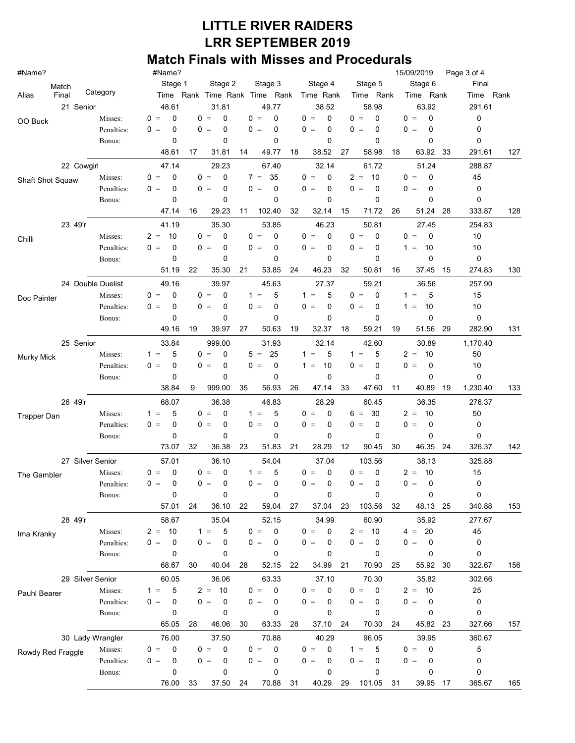| #Name?             |                       | #Name?<br>15/09/2019<br>Page 3 of 4 |                          |                                                               |                      |                          |                                            |                |      |  |  |  |  |  |
|--------------------|-----------------------|-------------------------------------|--------------------------|---------------------------------------------------------------|----------------------|--------------------------|--------------------------------------------|----------------|------|--|--|--|--|--|
| Match              | Stage 1               | Stage 2                             | Stage 3                  | Stage 4                                                       | Stage 5              | Stage 6                  | Final                                      |                |      |  |  |  |  |  |
| Alias<br>Final     | Category              |                                     |                          | Time Rank Time Rank Time Rank                                 | Time Rank            | Time Rank                | Time Rank                                  | Time           | Rank |  |  |  |  |  |
| 21 Senior          |                       | 48.61                               | 31.81                    | 49.77                                                         | 38.52                | 58.98                    | 63.92                                      | 291.61         |      |  |  |  |  |  |
| OO Buck            | Misses:               | $\Omega$<br>$0 =$                   | $0 =$<br>0               | $0 =$<br>$\Omega$                                             | $0 =$<br>0           | $0 =$<br>0               | 0<br>$0 =$                                 | 0              |      |  |  |  |  |  |
|                    | Penalties:            | 0<br>$0 =$                          | 0<br>$0 =$               | 0<br>0<br>$\hspace{0.1cm} = \hspace{0.1cm}$                   | $0 =$<br>0           | 0<br>0<br>$=$            | 0<br>0<br>$=$                              | 0              |      |  |  |  |  |  |
|                    | Bonus:                | 0                                   | 0                        | 0                                                             | 0                    | 0                        | 0                                          | 0              |      |  |  |  |  |  |
|                    |                       | 48.61                               | 31.81<br>17              | 49.77<br>14                                                   | 38.52<br>18          | 27<br>58.98              | 18<br>63.92                                | 33<br>291.61   | 127  |  |  |  |  |  |
| 22 Cowgirl         |                       | 47.14                               | 29.23                    | 67.40                                                         | 32.14                | 61.72                    | 51.24                                      | 288.87         |      |  |  |  |  |  |
| Shaft Shot Squaw   | Misses:               | 0<br>$0 =$                          | 0<br>$0 =$               | 35<br>$7 =$                                                   | $0 =$<br>0           | $2 =$<br>10              | $\mathbf 0$<br>$0 =$                       | 45             |      |  |  |  |  |  |
|                    | Penalties:            | $0 =$<br>0                          | $0 =$<br>0               | $0 =$<br>0                                                    | $0 =$<br>0           | $0 =$<br>$\mathbf 0$     | $0 =$<br>$\mathbf 0$                       | 0              |      |  |  |  |  |  |
|                    | Bonus:                | 0                                   | 0                        | 0                                                             | 0                    | 0                        | 0                                          | 0              |      |  |  |  |  |  |
|                    |                       | 47.14                               | 29.23<br>16              | 102.40<br>11                                                  | 32<br>32.14          | 15<br>71.72              | 26<br>51.24                                | 333.87<br>28   | 128  |  |  |  |  |  |
| 23 49'r            |                       | 41.19                               | 35.30                    | 53.85                                                         | 46.23                | 50.81                    | 27.45                                      | 254.83         |      |  |  |  |  |  |
| Chilli             | Misses:               | 10<br>$2 =$                         | 0<br>$0 =$               | 0<br>$\Omega$<br>$=$                                          | $0 =$<br>0           | 0<br>0<br>$=$            | 0<br>0<br>$=$                              | 10             |      |  |  |  |  |  |
|                    | Penalties:            | $0 =$<br>0                          | 0<br>$0 =$               | 0<br>0<br>$=$                                                 | $0 =$<br>0           | 0<br>0<br>$=$            | 10<br>$1 =$                                | 10             |      |  |  |  |  |  |
|                    | Bonus:                | 0                                   | 0<br>35.30               | 0<br>53.85                                                    | 0<br>24              | 0                        | 0                                          | 0<br>274.83    |      |  |  |  |  |  |
|                    |                       | 51.19                               | 22                       | 21                                                            | 46.23                | 32<br>50.81              | 16<br>37.45                                | 15             | 130  |  |  |  |  |  |
| 24 Double Duelist  |                       | 49.16                               | 39.97                    | 45.63                                                         | 27.37                | 59.21                    | 36.56                                      | 257.90         |      |  |  |  |  |  |
| Doc Painter        | Misses:               | $0 =$<br>0<br>$0 =$                 | $0 =$<br>0<br>$0 =$      | $1 =$<br>5<br>$0 =$                                           | 5<br>$1 =$<br>$0 =$  | $0 =$<br>0<br>$0 =$      | 5<br>$1 =$                                 | 15             |      |  |  |  |  |  |
|                    | Penalties:            | 0<br>0                              | 0<br>0                   | 0<br>0                                                        | 0<br>0               | 0<br>$\mathbf 0$         | 10<br>$1 =$<br>0                           | 10<br>0        |      |  |  |  |  |  |
|                    | Bonus:                | 49.16                               | 19<br>39.97              | 27<br>50.63                                                   | 19<br>32.37          | 18<br>59.21              | 19<br>51.56                                | 29<br>282.90   | 131  |  |  |  |  |  |
|                    |                       |                                     |                          |                                                               |                      |                          |                                            |                |      |  |  |  |  |  |
| 25 Senior          |                       | 33.84<br>5                          | 999.00                   | 31.93                                                         | 32.14<br>5           | 42.60                    | 30.89                                      | 1,170.40       |      |  |  |  |  |  |
| <b>Murky Mick</b>  | Misses:<br>Penalties: | $1 =$<br>0<br>$0 =$                 | $0 =$<br>0<br>$0 =$<br>0 | 25<br>5<br>$\hspace{0.1cm} = \hspace{0.1cm}$<br>0<br>0<br>$=$ | $1 =$<br>10<br>$1 =$ | 5<br>$1 =$<br>$0 =$<br>0 | 10<br>$2 =$<br>0<br>0<br>$\qquad \qquad =$ | 50<br>10       |      |  |  |  |  |  |
|                    | Bonus:                | 0                                   | 0                        | 0                                                             | 0                    | $\mathbf 0$              | 0                                          | 0              |      |  |  |  |  |  |
|                    |                       | 38.84                               | 9<br>999.00              | 56.93<br>35                                                   | 26<br>47.14          | 33<br>47.60              | 11<br>40.89                                | 19<br>1,230.40 | 133  |  |  |  |  |  |
| 26 49'r            |                       |                                     | 36.38                    |                                                               | 28.29                |                          | 36.35                                      | 276.37         |      |  |  |  |  |  |
|                    | Misses:               | 68.07<br>5<br>$1 =$                 | 0<br>$0 =$               | 46.83<br>$1 =$<br>5                                           | $0 =$<br>0           | 60.45<br>30<br>$6 =$     | $2 =$<br>10                                | 50             |      |  |  |  |  |  |
| <b>Trapper Dan</b> | Penalties:            | $0 =$<br>0                          | $0 =$<br>0               | $0 =$<br>0                                                    | $0 =$<br>0           | $0 =$<br>0               | 0<br>0<br>$\, =$                           | 0              |      |  |  |  |  |  |
|                    | Bonus:                | 0                                   | 0                        | 0                                                             | 0                    | 0                        | 0                                          | 0              |      |  |  |  |  |  |
|                    |                       | 73.07                               | 32<br>36.38              | 23<br>51.83                                                   | 21<br>28.29          | 12<br>90.45              | 30<br>46.35                                | 326.37<br>24   | 142  |  |  |  |  |  |
| 27 Silver Senior   |                       | 57.01                               | 36.10                    | 54.04                                                         | 37.04                | 103.56                   | 38.13                                      | 325.88         |      |  |  |  |  |  |
|                    | Misses:               | $0 =$<br>0                          | $0 =$<br>0               | 5<br>$1 =$                                                    | $0 =$<br>0           | 0<br>0<br>$\quad =$      | 10<br>$2 =$                                | 15             |      |  |  |  |  |  |
| The Gambler        | Penalties:            | $0 =$<br>0                          | $0 =$<br>0               | $0 =$<br>0                                                    | $0 =$<br>0           | $0 =$<br>0               | 0<br>$0 =$                                 | 0              |      |  |  |  |  |  |
|                    | Bonus:                | 0                                   | 0                        | 0                                                             | 0                    | 0                        | 0                                          | 0              |      |  |  |  |  |  |
|                    |                       | 57.01                               | 36.10<br>24              | 22<br>59.04                                                   | 27<br>37.04          | 23<br>103.56             | 32<br>48.13 25                             | 340.88         | 153  |  |  |  |  |  |
| 28 49'r            |                       | 58.67                               | 35.04                    | 52.15                                                         | 34.99                | 60.90                    | 35.92                                      | 277.67         |      |  |  |  |  |  |
|                    | Misses:               | 10<br>$2 =$                         | 5<br>$1 =$               | $\mathbf 0$<br>$0 =$                                          | $0 =$<br>0           | $2 =$<br>10              | 20<br>$4 =$                                | 45             |      |  |  |  |  |  |
| Ima Kranky         | Penalties:            | 0<br>$0 =$                          | $0 =$<br>0               | $0 =$<br>0                                                    | $0 =$<br>0           | $0 =$<br>0               | 0<br>$0 =$                                 | 0              |      |  |  |  |  |  |
|                    | Bonus:                | 0                                   | 0                        | 0                                                             | 0                    | 0                        | 0                                          | 0              |      |  |  |  |  |  |
|                    |                       | 68.67                               | 30<br>40.04              | 52.15<br>28                                                   | 22<br>34.99          | 70.90<br>21              | 55.92<br>25                                | 322.67<br>30   | 156  |  |  |  |  |  |
| 29 Silver Senior   |                       | 60.05                               | 36.06                    | 63.33                                                         | 37.10                | 70.30                    | 35.82                                      | 302.66         |      |  |  |  |  |  |
| Pauhl Bearer       | Misses:               | 5<br>$1 =$                          | $2 = 10$                 | $0 =$<br>0                                                    | $0 =$<br>0           | $0 =$<br>0               | 10<br>$2 =$                                | 25             |      |  |  |  |  |  |
|                    | Penalties:            | 0<br>$0 =$                          | $0 =$<br>0               | $0 =$<br>0                                                    | $0 =$<br>0           | $0 =$<br>0               | 0<br>$0 =$                                 | 0              |      |  |  |  |  |  |
|                    | Bonus:                | 0                                   | 0                        | 0                                                             | 0                    | 0                        | 0                                          | 0              |      |  |  |  |  |  |
|                    |                       | 65.05                               | 46.06<br>28              | 63.33<br>30                                                   | 28<br>37.10          | 70.30<br>24              | 45.82<br>24                                | 327.66<br>23   | 157  |  |  |  |  |  |
| 30 Lady Wrangler   |                       | 76.00                               | 37.50                    | 70.88                                                         | 40.29                | 96.05                    | 39.95                                      | 360.67         |      |  |  |  |  |  |
| Rowdy Red Fraggle  | Misses:               | 0<br>$0 =$                          | 0<br>$0 =$               | 0<br>$0 =$                                                    | 0<br>$0 =$           | 5<br>$1 =$               | 0<br>$0 =$                                 | 5              |      |  |  |  |  |  |
|                    | Penalties:            | 0<br>$0 =$                          | $0 =$<br>0               | $0 =$<br>0                                                    | $0 =$<br>0           | $0 =$<br>0               | $0 =$<br>0                                 | 0              |      |  |  |  |  |  |
|                    | Bonus:                | 0                                   | 0                        | 0                                                             | 0                    | 0                        | 0                                          | 0              |      |  |  |  |  |  |
|                    |                       | 76.00                               | 33<br>37.50              | 70.88<br>24                                                   | 31<br>40.29          | 29<br>101.05             | 31<br>39.95                                | 365.67<br>17   | 165  |  |  |  |  |  |